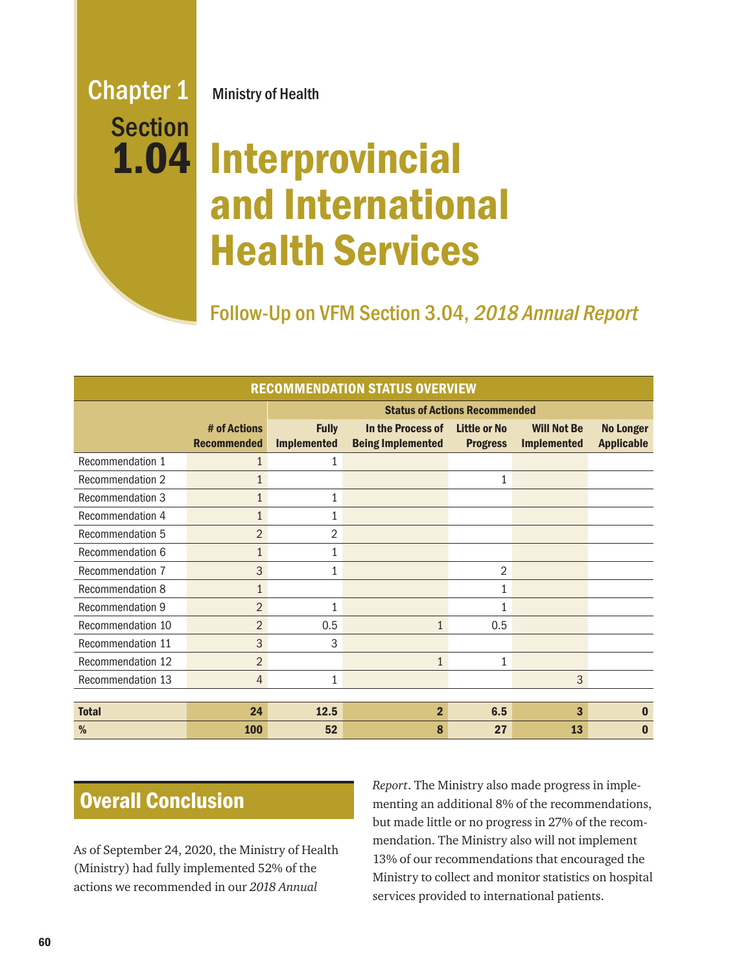## Chapter 1 Ministry of Health Section 1.04

# Interprovincial and International Health Services

Follow-Up on VFM Section 3.04, 2018 Annual Report

| <b>RECOMMENDATION STATUS OVERVIEW</b> |                                    |                                      |                                               |                                        |                                          |                                       |
|---------------------------------------|------------------------------------|--------------------------------------|-----------------------------------------------|----------------------------------------|------------------------------------------|---------------------------------------|
|                                       |                                    | <b>Status of Actions Recommended</b> |                                               |                                        |                                          |                                       |
|                                       | # of Actions<br><b>Recommended</b> | <b>Fully</b><br><b>Implemented</b>   | In the Process of<br><b>Being Implemented</b> | <b>Little or No</b><br><b>Progress</b> | <b>Will Not Be</b><br><b>Implemented</b> | <b>No Longer</b><br><b>Applicable</b> |
| Recommendation 1                      | $\mathbf{1}$                       | $\mathbf{1}$                         |                                               |                                        |                                          |                                       |
| <b>Recommendation 2</b>               | $\mathbf{1}$                       |                                      |                                               | 1                                      |                                          |                                       |
| Recommendation 3                      | $\mathbf{1}$                       | 1                                    |                                               |                                        |                                          |                                       |
| Recommendation 4                      | $\overline{1}$                     |                                      |                                               |                                        |                                          |                                       |
| Recommendation 5                      | $\overline{2}$                     | $\overline{2}$                       |                                               |                                        |                                          |                                       |
| Recommendation 6                      | $\mathbf{1}$                       | 1                                    |                                               |                                        |                                          |                                       |
| Recommendation 7                      | 3                                  | 1                                    |                                               | 2                                      |                                          |                                       |
| Recommendation 8                      | $\mathbf{1}$                       |                                      |                                               | 1                                      |                                          |                                       |
| <b>Recommendation 9</b>               | $\overline{2}$                     | $\mathbf{1}$                         |                                               | $\mathbf{1}$                           |                                          |                                       |
| Recommendation 10                     | $\overline{2}$                     | 0.5                                  | $\mathbf{1}$                                  | 0.5                                    |                                          |                                       |
| Recommendation 11                     | 3                                  | 3                                    |                                               |                                        |                                          |                                       |
| Recommendation 12                     | $\overline{2}$                     |                                      | $\mathbf{1}$                                  | $\mathbf{1}$                           |                                          |                                       |
| Recommendation 13                     | $\overline{4}$                     | 1                                    |                                               |                                        | 3                                        |                                       |
|                                       |                                    |                                      |                                               |                                        |                                          |                                       |
| <b>Total</b>                          | 24                                 | 12.5                                 | $\overline{2}$                                | 6.5                                    | 3                                        | $\mathbf{0}$                          |
| %                                     | <b>100</b>                         | 52                                   | 8                                             | 27                                     | 13                                       | O                                     |

## **Overall Conclusion**

As of September 24, 2020, the Ministry of Health (Ministry) had fully implemented 52% of the actions we recommended in our *2018 Annual* 

*Report*. The Ministry also made progress in implementing an additional 8% of the recommendations, but made little or no progress in 27% of the recommendation. The Ministry also will not implement 13% of our recommendations that encouraged the Ministry to collect and monitor statistics on hospital services provided to international patients.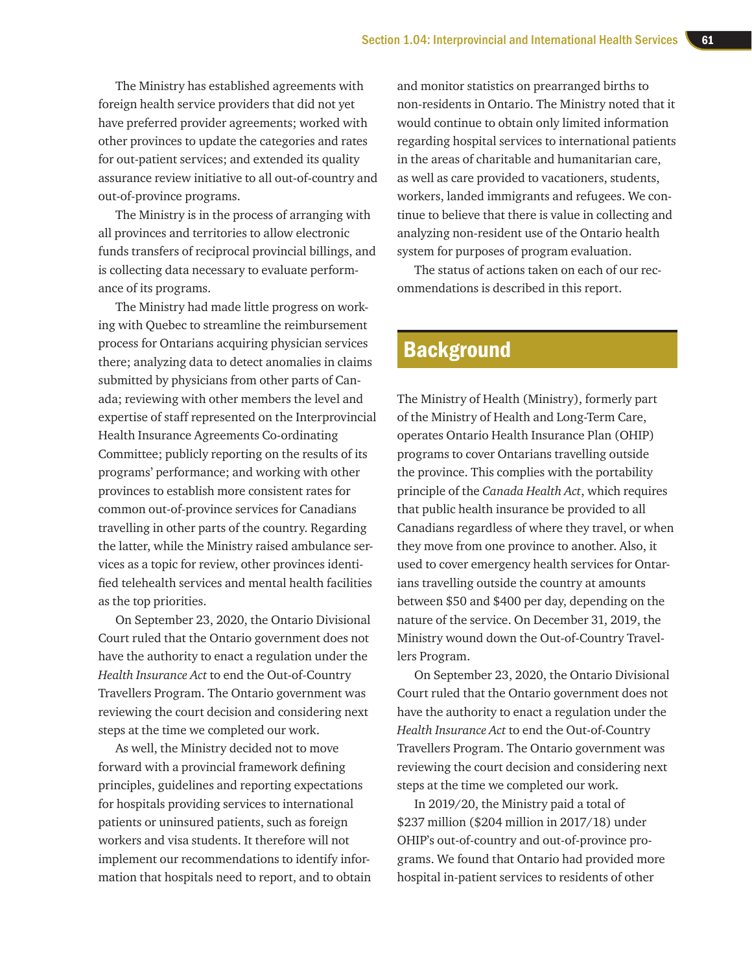The Ministry has established agreements with foreign health service providers that did not yet have preferred provider agreements; worked with other provinces to update the categories and rates for out-patient services; and extended its quality assurance review initiative to all out-of-country and out-of-province programs.

The Ministry is in the process of arranging with all provinces and territories to allow electronic funds transfers of reciprocal provincial billings, and is collecting data necessary to evaluate performance of its programs.

The Ministry had made little progress on working with Quebec to streamline the reimbursement process for Ontarians acquiring physician services there; analyzing data to detect anomalies in claims submitted by physicians from other parts of Canada; reviewing with other members the level and expertise of staff represented on the Interprovincial Health Insurance Agreements Co-ordinating Committee; publicly reporting on the results of its programs' performance; and working with other provinces to establish more consistent rates for common out-of-province services for Canadians travelling in other parts of the country. Regarding the latter, while the Ministry raised ambulance services as a topic for review, other provinces identified telehealth services and mental health facilities as the top priorities.

On September 23, 2020, the Ontario Divisional Court ruled that the Ontario government does not have the authority to enact a regulation under the *Health Insurance Act* to end the Out-of-Country Travellers Program. The Ontario government was reviewing the court decision and considering next steps at the time we completed our work.

As well, the Ministry decided not to move forward with a provincial framework defining principles, guidelines and reporting expectations for hospitals providing services to international patients or uninsured patients, such as foreign workers and visa students. It therefore will not implement our recommendations to identify information that hospitals need to report, and to obtain

and monitor statistics on prearranged births to non-residents in Ontario. The Ministry noted that it would continue to obtain only limited information regarding hospital services to international patients in the areas of charitable and humanitarian care, as well as care provided to vacationers, students, workers, landed immigrants and refugees. We continue to believe that there is value in collecting and analyzing non-resident use of the Ontario health system for purposes of program evaluation.

The status of actions taken on each of our recommendations is described in this report.

## **Background**

The Ministry of Health (Ministry), formerly part of the Ministry of Health and Long-Term Care, operates Ontario Health Insurance Plan (OHIP) programs to cover Ontarians travelling outside the province. This complies with the portability principle of the *Canada Health Act*, which requires that public health insurance be provided to all Canadians regardless of where they travel, or when they move from one province to another. Also, it used to cover emergency health services for Ontarians travelling outside the country at amounts between \$50 and \$400 per day, depending on the nature of the service. On December 31, 2019, the Ministry wound down the Out-of-Country Travellers Program.

On September 23, 2020, the Ontario Divisional Court ruled that the Ontario government does not have the authority to enact a regulation under the *Health Insurance Act* to end the Out-of-Country Travellers Program. The Ontario government was reviewing the court decision and considering next steps at the time we completed our work.

In 2019/20, the Ministry paid a total of \$237 million (\$204 million in 2017/18) under OHIP's out-of-country and out-of-province programs. We found that Ontario had provided more hospital in-patient services to residents of other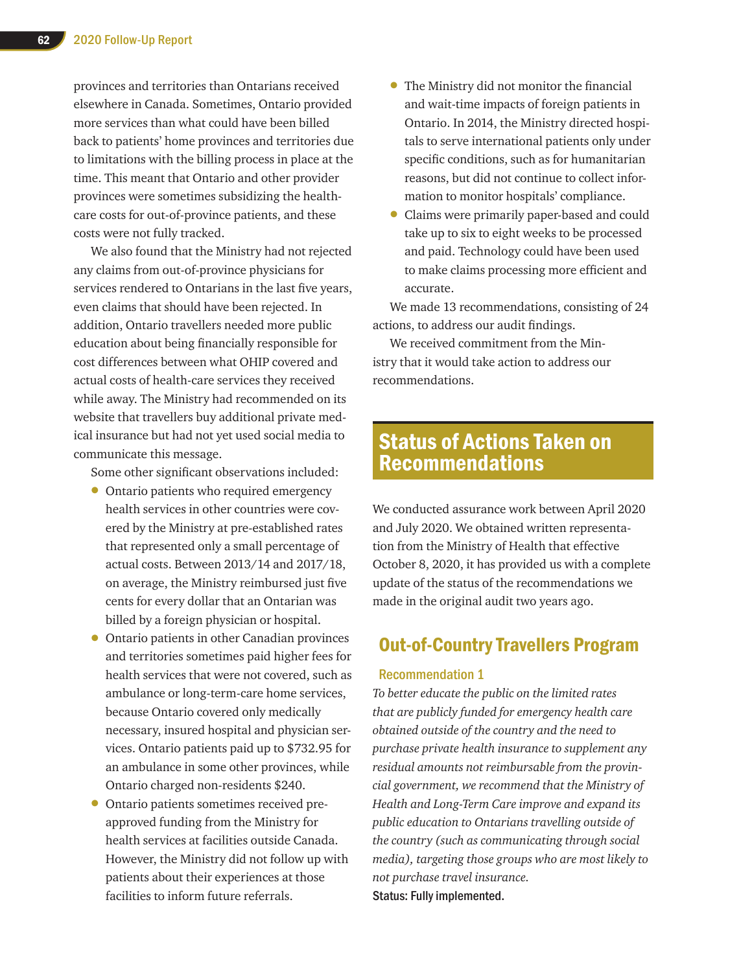provinces and territories than Ontarians received elsewhere in Canada. Sometimes, Ontario provided more services than what could have been billed back to patients' home provinces and territories due to limitations with the billing process in place at the time. This meant that Ontario and other provider provinces were sometimes subsidizing the healthcare costs for out-of-province patients, and these costs were not fully tracked.

We also found that the Ministry had not rejected any claims from out-of-province physicians for services rendered to Ontarians in the last five years, even claims that should have been rejected. In addition, Ontario travellers needed more public education about being financially responsible for cost differences between what OHIP covered and actual costs of health-care services they received while away. The Ministry had recommended on its website that travellers buy additional private medical insurance but had not yet used social media to communicate this message.

Some other significant observations included:

- Ontario patients who required emergency health services in other countries were covered by the Ministry at pre-established rates that represented only a small percentage of actual costs. Between 2013/14 and 2017/18, on average, the Ministry reimbursed just five cents for every dollar that an Ontarian was billed by a foreign physician or hospital.
- Ontario patients in other Canadian provinces and territories sometimes paid higher fees for health services that were not covered, such as ambulance or long-term-care home services, because Ontario covered only medically necessary, insured hospital and physician services. Ontario patients paid up to \$732.95 for an ambulance in some other provinces, while Ontario charged non-residents \$240.
- Ontario patients sometimes received preapproved funding from the Ministry for health services at facilities outside Canada. However, the Ministry did not follow up with patients about their experiences at those facilities to inform future referrals.
- The Ministry did not monitor the financial and wait-time impacts of foreign patients in Ontario. In 2014, the Ministry directed hospitals to serve international patients only under specific conditions, such as for humanitarian reasons, but did not continue to collect information to monitor hospitals' compliance.
- Claims were primarily paper-based and could take up to six to eight weeks to be processed and paid. Technology could have been used to make claims processing more efficient and accurate.

We made 13 recommendations, consisting of 24 actions, to address our audit findings.

We received commitment from the Ministry that it would take action to address our recommendations.

## Status of Actions Taken on Recommendations

We conducted assurance work between April 2020 and July 2020. We obtained written representation from the Ministry of Health that effective October 8, 2020, it has provided us with a complete update of the status of the recommendations we made in the original audit two years ago.

## Out-of-Country Travellers Program

#### Recommendation 1

*To better educate the public on the limited rates that are publicly funded for emergency health care obtained outside of the country and the need to purchase private health insurance to supplement any residual amounts not reimbursable from the provincial government, we recommend that the Ministry of Health and Long-Term Care improve and expand its public education to Ontarians travelling outside of the country (such as communicating through social media), targeting those groups who are most likely to not purchase travel insurance.* Status: Fully implemented.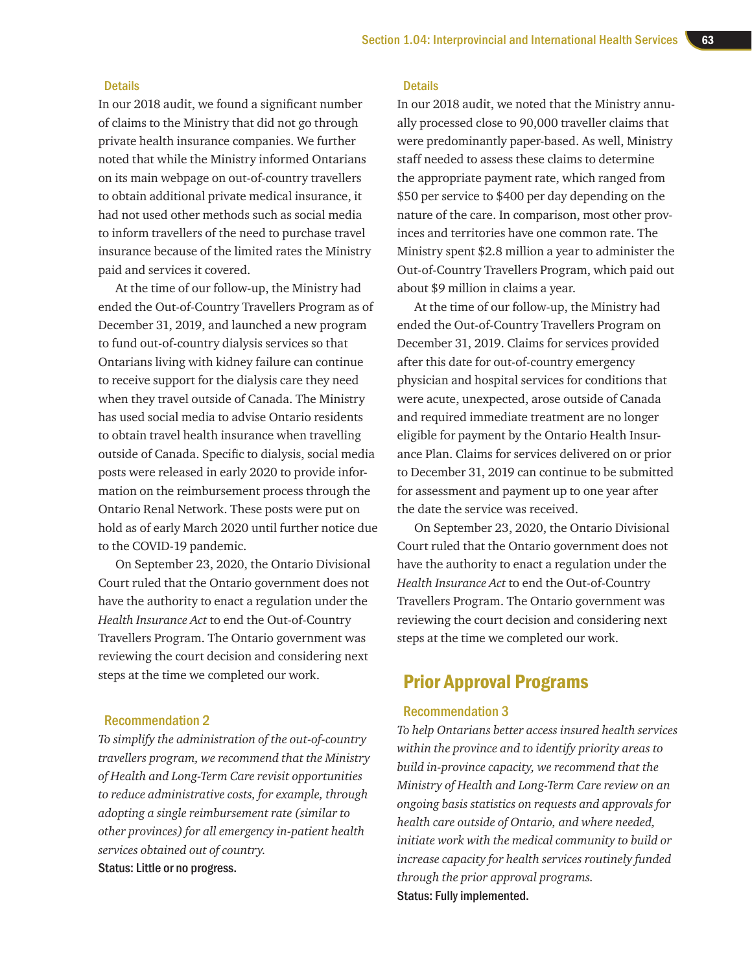#### **Details**

In our 2018 audit, we found a significant number of claims to the Ministry that did not go through private health insurance companies. We further noted that while the Ministry informed Ontarians on its main webpage on out-of-country travellers to obtain additional private medical insurance, it had not used other methods such as social media to inform travellers of the need to purchase travel insurance because of the limited rates the Ministry paid and services it covered.

At the time of our follow-up, the Ministry had ended the Out-of-Country Travellers Program as of December 31, 2019, and launched a new program to fund out-of-country dialysis services so that Ontarians living with kidney failure can continue to receive support for the dialysis care they need when they travel outside of Canada. The Ministry has used social media to advise Ontario residents to obtain travel health insurance when travelling outside of Canada. Specific to dialysis, social media posts were released in early 2020 to provide information on the reimbursement process through the Ontario Renal Network. These posts were put on hold as of early March 2020 until further notice due to the COVID-19 pandemic.

On September 23, 2020, the Ontario Divisional Court ruled that the Ontario government does not have the authority to enact a regulation under the *Health Insurance Act* to end the Out-of-Country Travellers Program. The Ontario government was reviewing the court decision and considering next steps at the time we completed our work.

#### Recommendation 2

*To simplify the administration of the out-of-country travellers program, we recommend that the Ministry of Health and Long-Term Care revisit opportunities to reduce administrative costs, for example, through adopting a single reimbursement rate (similar to other provinces) for all emergency in-patient health services obtained out of country.* Status: Little or no progress.

#### **Details**

In our 2018 audit, we noted that the Ministry annually processed close to 90,000 traveller claims that were predominantly paper-based. As well, Ministry staff needed to assess these claims to determine the appropriate payment rate, which ranged from \$50 per service to \$400 per day depending on the nature of the care. In comparison, most other provinces and territories have one common rate. The Ministry spent \$2.8 million a year to administer the Out-of-Country Travellers Program, which paid out about \$9 million in claims a year.

At the time of our follow-up, the Ministry had ended the Out-of-Country Travellers Program on December 31, 2019. Claims for services provided after this date for out-of-country emergency physician and hospital services for conditions that were acute, unexpected, arose outside of Canada and required immediate treatment are no longer eligible for payment by the Ontario Health Insurance Plan. Claims for services delivered on or prior to December 31, 2019 can continue to be submitted for assessment and payment up to one year after the date the service was received.

On September 23, 2020, the Ontario Divisional Court ruled that the Ontario government does not have the authority to enact a regulation under the *Health Insurance Act* to end the Out-of-Country Travellers Program. The Ontario government was reviewing the court decision and considering next steps at the time we completed our work.

## Prior Approval Programs

#### Recommendation 3

*To help Ontarians better access insured health services within the province and to identify priority areas to build in-province capacity, we recommend that the Ministry of Health and Long-Term Care review on an ongoing basis statistics on requests and approvals for health care outside of Ontario, and where needed, initiate work with the medical community to build or increase capacity for health services routinely funded through the prior approval programs.*  Status: Fully implemented.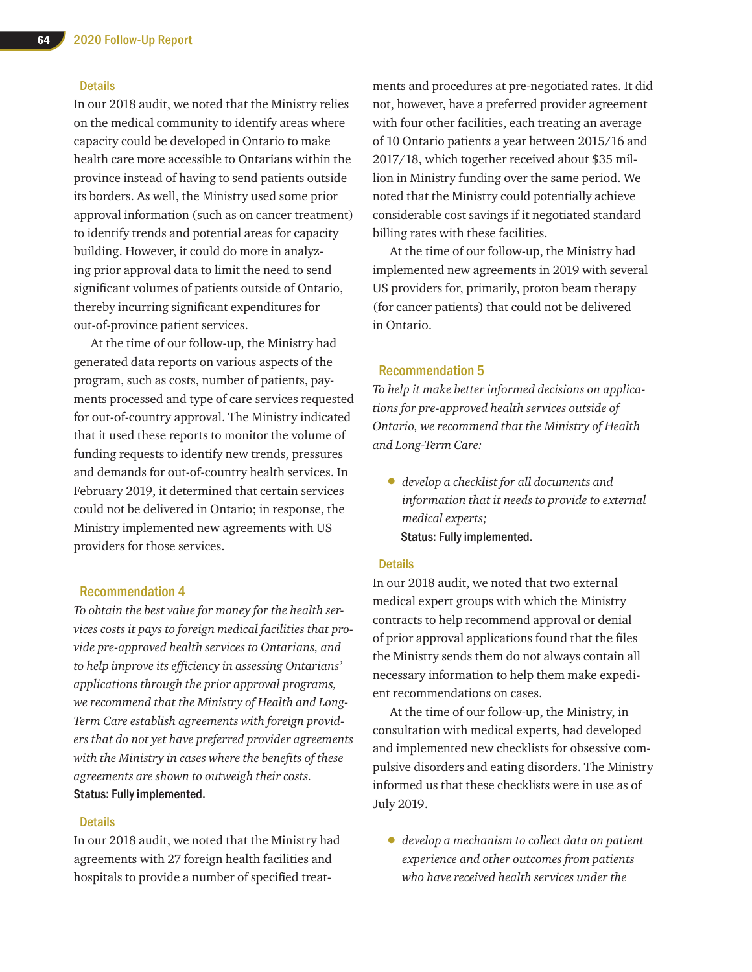#### **Details**

In our 2018 audit, we noted that the Ministry relies on the medical community to identify areas where capacity could be developed in Ontario to make health care more accessible to Ontarians within the province instead of having to send patients outside its borders. As well, the Ministry used some prior approval information (such as on cancer treatment) to identify trends and potential areas for capacity building. However, it could do more in analyzing prior approval data to limit the need to send significant volumes of patients outside of Ontario, thereby incurring significant expenditures for out-of-province patient services.

At the time of our follow-up, the Ministry had generated data reports on various aspects of the program, such as costs, number of patients, payments processed and type of care services requested for out-of-country approval. The Ministry indicated that it used these reports to monitor the volume of funding requests to identify new trends, pressures and demands for out-of-country health services. In February 2019, it determined that certain services could not be delivered in Ontario; in response, the Ministry implemented new agreements with US providers for those services.

#### Recommendation 4

*To obtain the best value for money for the health services costs it pays to foreign medical facilities that provide pre-approved health services to Ontarians, and to help improve its efficiency in assessing Ontarians' applications through the prior approval programs, we recommend that the Ministry of Health and Long-Term Care establish agreements with foreign providers that do not yet have preferred provider agreements with the Ministry in cases where the benefits of these agreements are shown to outweigh their costs.* Status: Fully implemented.

#### **Details**

In our 2018 audit, we noted that the Ministry had agreements with 27 foreign health facilities and hospitals to provide a number of specified treat-

ments and procedures at pre-negotiated rates. It did not, however, have a preferred provider agreement with four other facilities, each treating an average of 10 Ontario patients a year between 2015/16 and 2017/18, which together received about \$35 million in Ministry funding over the same period. We noted that the Ministry could potentially achieve considerable cost savings if it negotiated standard billing rates with these facilities.

At the time of our follow-up, the Ministry had implemented new agreements in 2019 with several US providers for, primarily, proton beam therapy (for cancer patients) that could not be delivered in Ontario.

#### Recommendation 5

*To help it make better informed decisions on applications for pre-approved health services outside of Ontario, we recommend that the Ministry of Health and Long-Term Care:* 

• *develop a checklist for all documents and information that it needs to provide to external medical experts;*  Status: Fully implemented.

#### **Details**

In our 2018 audit, we noted that two external medical expert groups with which the Ministry contracts to help recommend approval or denial of prior approval applications found that the files the Ministry sends them do not always contain all necessary information to help them make expedient recommendations on cases.

At the time of our follow-up, the Ministry, in consultation with medical experts, had developed and implemented new checklists for obsessive compulsive disorders and eating disorders. The Ministry informed us that these checklists were in use as of July 2019.

• *develop a mechanism to collect data on patient experience and other outcomes from patients who have received health services under the*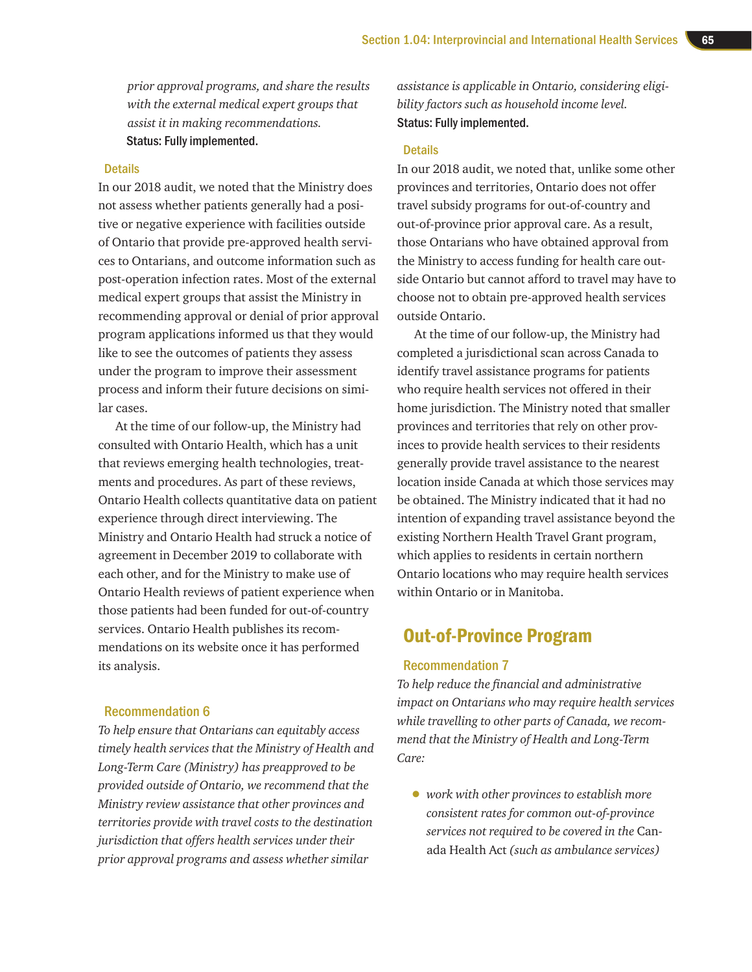*prior approval programs, and share the results with the external medical expert groups that assist it in making recommendations.* Status: Fully implemented.

#### **Details**

In our 2018 audit, we noted that the Ministry does not assess whether patients generally had a positive or negative experience with facilities outside of Ontario that provide pre-approved health services to Ontarians, and outcome information such as post-operation infection rates. Most of the external medical expert groups that assist the Ministry in recommending approval or denial of prior approval program applications informed us that they would like to see the outcomes of patients they assess under the program to improve their assessment process and inform their future decisions on similar cases.

At the time of our follow-up, the Ministry had consulted with Ontario Health, which has a unit that reviews emerging health technologies, treatments and procedures. As part of these reviews, Ontario Health collects quantitative data on patient experience through direct interviewing. The Ministry and Ontario Health had struck a notice of agreement in December 2019 to collaborate with each other, and for the Ministry to make use of Ontario Health reviews of patient experience when those patients had been funded for out-of-country services. Ontario Health publishes its recommendations on its website once it has performed its analysis.

#### Recommendation 6

*To help ensure that Ontarians can equitably access timely health services that the Ministry of Health and Long-Term Care (Ministry) has preapproved to be provided outside of Ontario, we recommend that the Ministry review assistance that other provinces and territories provide with travel costs to the destination jurisdiction that offers health services under their prior approval programs and assess whether similar* 

*assistance is applicable in Ontario, considering eligibility factors such as household income level.* Status: Fully implemented.

#### **Details**

In our 2018 audit, we noted that, unlike some other provinces and territories, Ontario does not offer travel subsidy programs for out-of-country and out-of-province prior approval care. As a result, those Ontarians who have obtained approval from the Ministry to access funding for health care outside Ontario but cannot afford to travel may have to choose not to obtain pre-approved health services outside Ontario.

At the time of our follow-up, the Ministry had completed a jurisdictional scan across Canada to identify travel assistance programs for patients who require health services not offered in their home jurisdiction. The Ministry noted that smaller provinces and territories that rely on other provinces to provide health services to their residents generally provide travel assistance to the nearest location inside Canada at which those services may be obtained. The Ministry indicated that it had no intention of expanding travel assistance beyond the existing Northern Health Travel Grant program, which applies to residents in certain northern Ontario locations who may require health services within Ontario or in Manitoba.

## Out-of-Province Program

#### Recommendation 7

*To help reduce the financial and administrative impact on Ontarians who may require health services while travelling to other parts of Canada, we recommend that the Ministry of Health and Long-Term Care:* 

• *work with other provinces to establish more consistent rates for common out-of-province services not required to be covered in the* Canada Health Act *(such as ambulance services)*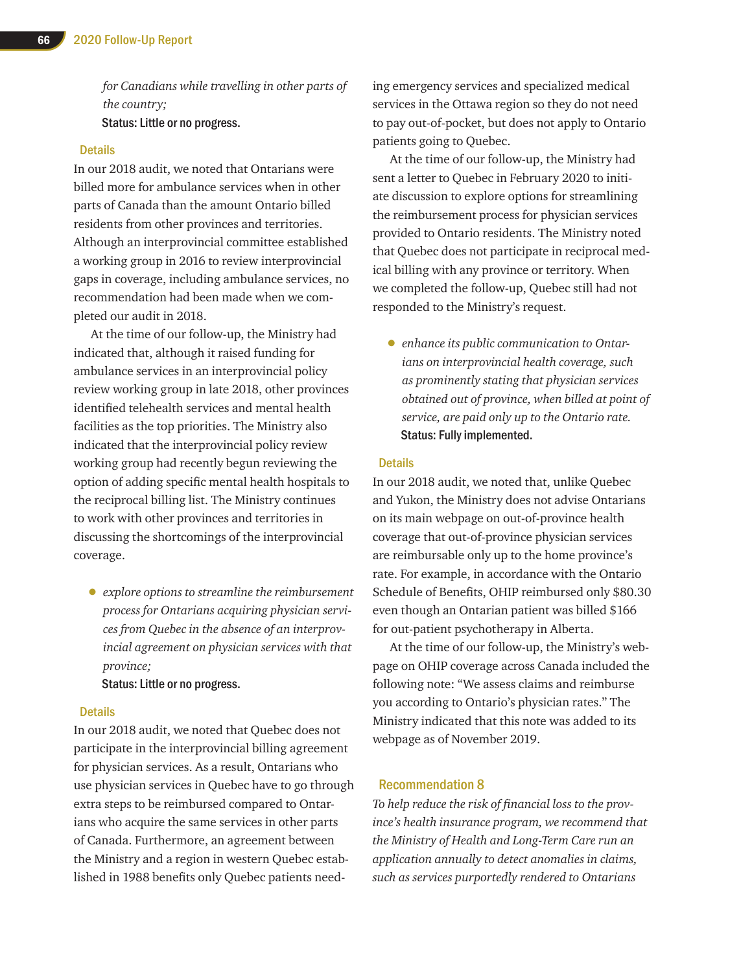*for Canadians while travelling in other parts of the country;*  Status: Little or no progress.

#### **Details**

In our 2018 audit, we noted that Ontarians were billed more for ambulance services when in other parts of Canada than the amount Ontario billed residents from other provinces and territories. Although an interprovincial committee established a working group in 2016 to review interprovincial gaps in coverage, including ambulance services, no recommendation had been made when we completed our audit in 2018.

At the time of our follow-up, the Ministry had indicated that, although it raised funding for ambulance services in an interprovincial policy review working group in late 2018, other provinces identified telehealth services and mental health facilities as the top priorities. The Ministry also indicated that the interprovincial policy review working group had recently begun reviewing the option of adding specific mental health hospitals to the reciprocal billing list. The Ministry continues to work with other provinces and territories in discussing the shortcomings of the interprovincial coverage.

• *explore options to streamline the reimbursement process for Ontarians acquiring physician services from Quebec in the absence of an interprovincial agreement on physician services with that province;*

Status: Little or no progress.

#### **Details**

In our 2018 audit, we noted that Quebec does not participate in the interprovincial billing agreement for physician services. As a result, Ontarians who use physician services in Quebec have to go through extra steps to be reimbursed compared to Ontarians who acquire the same services in other parts of Canada. Furthermore, an agreement between the Ministry and a region in western Quebec established in 1988 benefits only Quebec patients needing emergency services and specialized medical services in the Ottawa region so they do not need to pay out-of-pocket, but does not apply to Ontario patients going to Quebec.

At the time of our follow-up, the Ministry had sent a letter to Quebec in February 2020 to initiate discussion to explore options for streamlining the reimbursement process for physician services provided to Ontario residents. The Ministry noted that Quebec does not participate in reciprocal medical billing with any province or territory. When we completed the follow-up, Quebec still had not responded to the Ministry's request.

• *enhance its public communication to Ontarians on interprovincial health coverage, such as prominently stating that physician services obtained out of province, when billed at point of service, are paid only up to the Ontario rate.* Status: Fully implemented.

#### **Details**

In our 2018 audit, we noted that, unlike Quebec and Yukon, the Ministry does not advise Ontarians on its main webpage on out-of-province health coverage that out-of-province physician services are reimbursable only up to the home province's rate. For example, in accordance with the Ontario Schedule of Benefits, OHIP reimbursed only \$80.30 even though an Ontarian patient was billed \$166 for out-patient psychotherapy in Alberta.

At the time of our follow-up, the Ministry's webpage on OHIP coverage across Canada included the following note: "We assess claims and reimburse you according to Ontario's physician rates." The Ministry indicated that this note was added to its webpage as of November 2019.

#### Recommendation 8

*To help reduce the risk of financial loss to the province's health insurance program, we recommend that the Ministry of Health and Long-Term Care run an application annually to detect anomalies in claims, such as services purportedly rendered to Ontarians*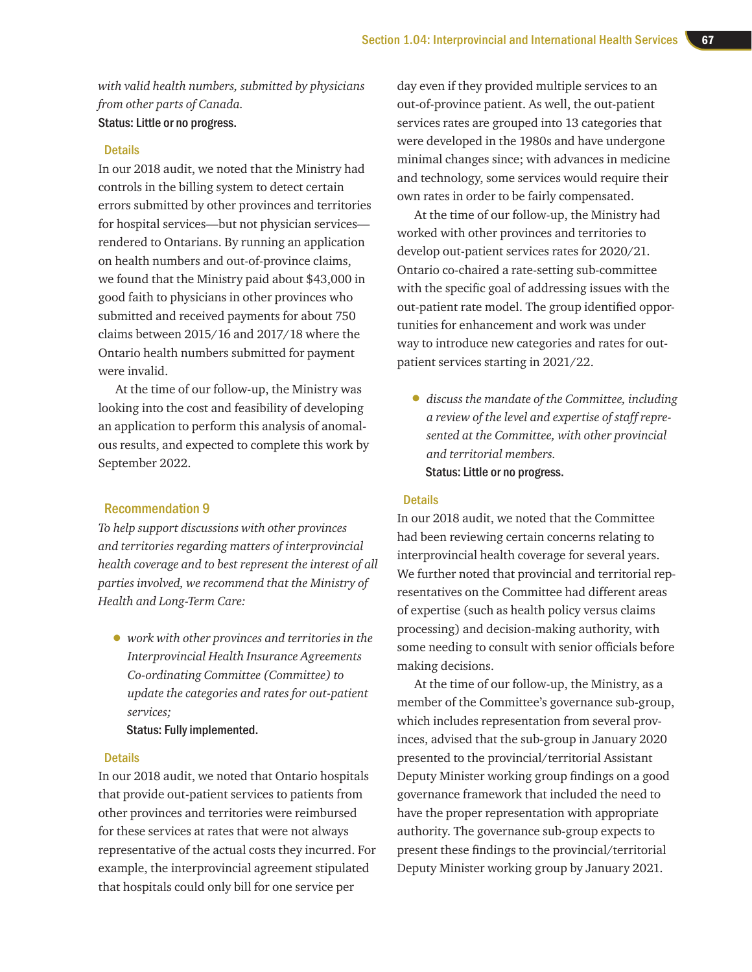*with valid health numbers, submitted by physicians from other parts of Canada.* Status: Little or no progress.

#### **Details**

In our 2018 audit, we noted that the Ministry had controls in the billing system to detect certain errors submitted by other provinces and territories for hospital services—but not physician services rendered to Ontarians. By running an application on health numbers and out-of-province claims, we found that the Ministry paid about \$43,000 in good faith to physicians in other provinces who submitted and received payments for about 750 claims between 2015/16 and 2017/18 where the Ontario health numbers submitted for payment were invalid.

At the time of our follow-up, the Ministry was looking into the cost and feasibility of developing an application to perform this analysis of anomalous results, and expected to complete this work by September 2022.

#### Recommendation 9

*To help support discussions with other provinces and territories regarding matters of interprovincial health coverage and to best represent the interest of all parties involved, we recommend that the Ministry of Health and Long-Term Care:*

• *work with other provinces and territories in the Interprovincial Health Insurance Agreements Co-ordinating Committee (Committee) to update the categories and rates for out-patient services;* 

Status: Fully implemented.

#### **Details**

In our 2018 audit, we noted that Ontario hospitals that provide out-patient services to patients from other provinces and territories were reimbursed for these services at rates that were not always representative of the actual costs they incurred. For example, the interprovincial agreement stipulated that hospitals could only bill for one service per

day even if they provided multiple services to an out-of-province patient. As well, the out-patient services rates are grouped into 13 categories that were developed in the 1980s and have undergone minimal changes since; with advances in medicine and technology, some services would require their own rates in order to be fairly compensated.

At the time of our follow-up, the Ministry had worked with other provinces and territories to develop out-patient services rates for 2020/21. Ontario co-chaired a rate-setting sub-committee with the specific goal of addressing issues with the out-patient rate model. The group identified opportunities for enhancement and work was under way to introduce new categories and rates for outpatient services starting in 2021/22.

• *discuss the mandate of the Committee, including a review of the level and expertise of staff represented at the Committee, with other provincial and territorial members.* Status: Little or no progress.

#### **Details**

In our 2018 audit, we noted that the Committee had been reviewing certain concerns relating to interprovincial health coverage for several years. We further noted that provincial and territorial representatives on the Committee had different areas of expertise (such as health policy versus claims processing) and decision-making authority, with some needing to consult with senior officials before making decisions.

At the time of our follow-up, the Ministry, as a member of the Committee's governance sub-group, which includes representation from several provinces, advised that the sub-group in January 2020 presented to the provincial/territorial Assistant Deputy Minister working group findings on a good governance framework that included the need to have the proper representation with appropriate authority. The governance sub-group expects to present these findings to the provincial/territorial Deputy Minister working group by January 2021.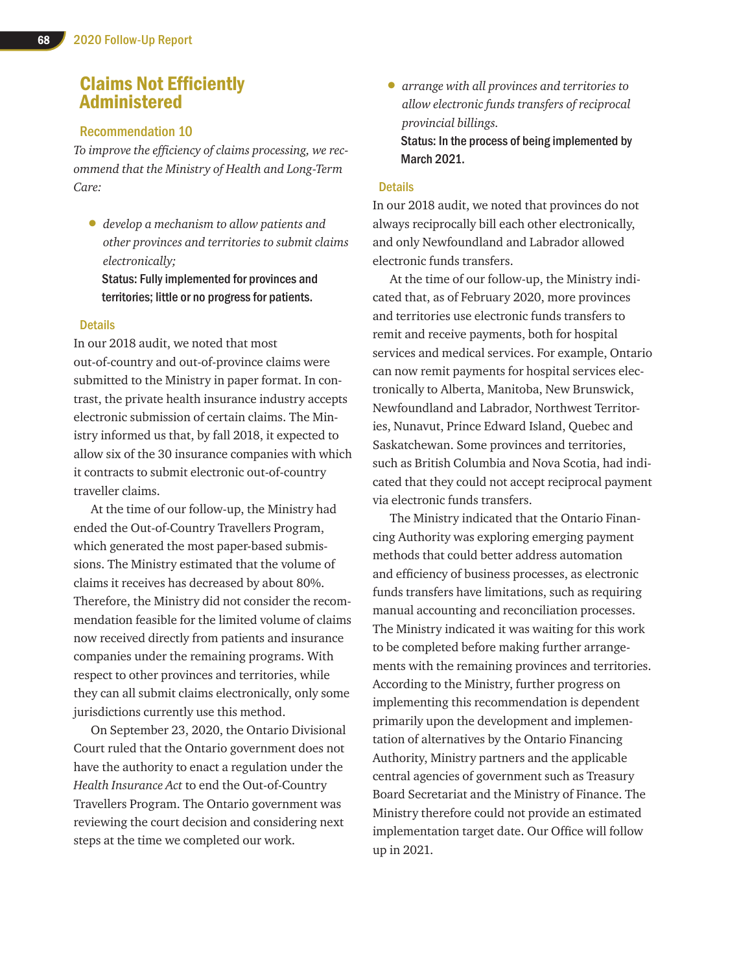## Claims Not Efficiently Administered

#### Recommendation 10

*To improve the efficiency of claims processing, we recommend that the Ministry of Health and Long-Term Care:* 

• *develop a mechanism to allow patients and other provinces and territories to submit claims electronically;* 

Status: Fully implemented for provinces and territories; little or no progress for patients.

#### **Details**

In our 2018 audit, we noted that most out-of-country and out-of-province claims were submitted to the Ministry in paper format. In contrast, the private health insurance industry accepts electronic submission of certain claims. The Ministry informed us that, by fall 2018, it expected to allow six of the 30 insurance companies with which it contracts to submit electronic out-of-country traveller claims.

At the time of our follow-up, the Ministry had ended the Out-of-Country Travellers Program, which generated the most paper-based submissions. The Ministry estimated that the volume of claims it receives has decreased by about 80%. Therefore, the Ministry did not consider the recommendation feasible for the limited volume of claims now received directly from patients and insurance companies under the remaining programs. With respect to other provinces and territories, while they can all submit claims electronically, only some jurisdictions currently use this method.

On September 23, 2020, the Ontario Divisional Court ruled that the Ontario government does not have the authority to enact a regulation under the *Health Insurance Act* to end the Out-of-Country Travellers Program. The Ontario government was reviewing the court decision and considering next steps at the time we completed our work.

• *arrange with all provinces and territories to allow electronic funds transfers of reciprocal provincial billings.*  Status: In the process of being implemented by March 2021.

#### **Details**

In our 2018 audit, we noted that provinces do not always reciprocally bill each other electronically, and only Newfoundland and Labrador allowed electronic funds transfers.

At the time of our follow-up, the Ministry indicated that, as of February 2020, more provinces and territories use electronic funds transfers to remit and receive payments, both for hospital services and medical services. For example, Ontario can now remit payments for hospital services electronically to Alberta, Manitoba, New Brunswick, Newfoundland and Labrador, Northwest Territories, Nunavut, Prince Edward Island, Quebec and Saskatchewan. Some provinces and territories, such as British Columbia and Nova Scotia, had indicated that they could not accept reciprocal payment via electronic funds transfers.

The Ministry indicated that the Ontario Financing Authority was exploring emerging payment methods that could better address automation and efficiency of business processes, as electronic funds transfers have limitations, such as requiring manual accounting and reconciliation processes. The Ministry indicated it was waiting for this work to be completed before making further arrangements with the remaining provinces and territories. According to the Ministry, further progress on implementing this recommendation is dependent primarily upon the development and implementation of alternatives by the Ontario Financing Authority, Ministry partners and the applicable central agencies of government such as Treasury Board Secretariat and the Ministry of Finance. The Ministry therefore could not provide an estimated implementation target date. Our Office will follow up in 2021.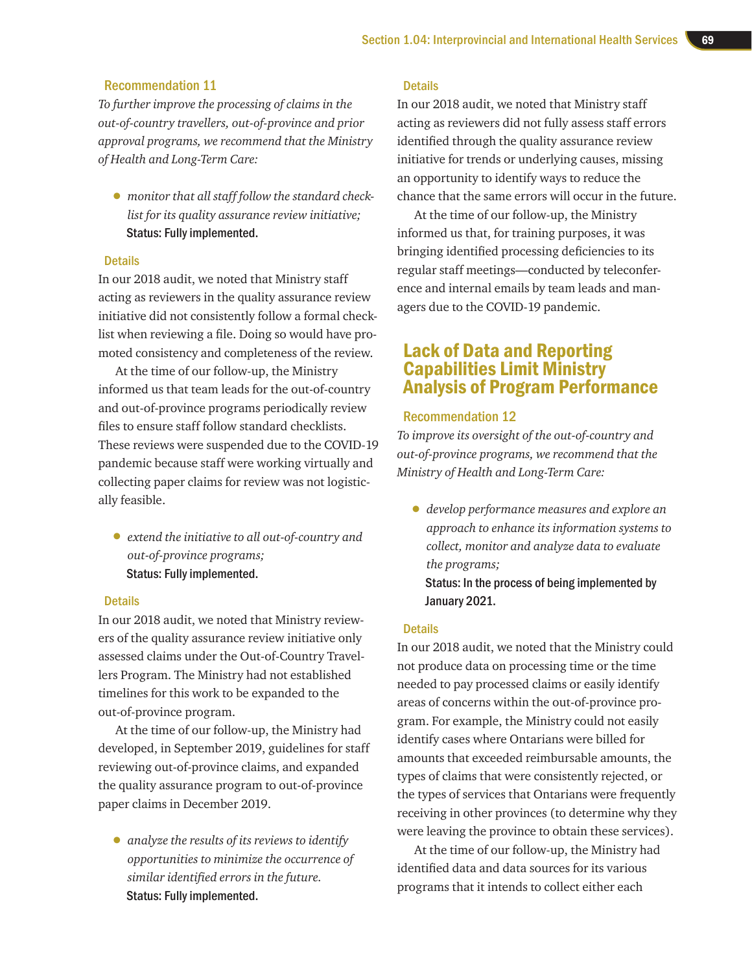#### Recommendation 11

*To further improve the processing of claims in the out-of-country travellers, out-of-province and prior approval programs, we recommend that the Ministry of Health and Long-Term Care:* 

• *monitor that all staff follow the standard checklist for its quality assurance review initiative;* Status: Fully implemented.

#### **Details**

In our 2018 audit, we noted that Ministry staff acting as reviewers in the quality assurance review initiative did not consistently follow a formal checklist when reviewing a file. Doing so would have promoted consistency and completeness of the review.

At the time of our follow-up, the Ministry informed us that team leads for the out-of-country and out-of-province programs periodically review files to ensure staff follow standard checklists. These reviews were suspended due to the COVID-19 pandemic because staff were working virtually and collecting paper claims for review was not logistically feasible.

• *extend the initiative to all out-of-country and out-of-province programs;*  Status: Fully implemented.

#### Details

In our 2018 audit, we noted that Ministry reviewers of the quality assurance review initiative only assessed claims under the Out-of-Country Travellers Program. The Ministry had not established timelines for this work to be expanded to the out-of-province program.

At the time of our follow-up, the Ministry had developed, in September 2019, guidelines for staff reviewing out-of-province claims, and expanded the quality assurance program to out-of-province paper claims in December 2019.

• *analyze the results of its reviews to identify opportunities to minimize the occurrence of similar identified errors in the future.* Status: Fully implemented.

#### **Details**

In our 2018 audit, we noted that Ministry staff acting as reviewers did not fully assess staff errors identified through the quality assurance review initiative for trends or underlying causes, missing an opportunity to identify ways to reduce the chance that the same errors will occur in the future.

At the time of our follow-up, the Ministry informed us that, for training purposes, it was bringing identified processing deficiencies to its regular staff meetings—conducted by teleconference and internal emails by team leads and managers due to the COVID-19 pandemic.

### Lack of Data and Reporting Capabilities Limit Ministry Analysis of Program Performance

#### Recommendation 12

*To improve its oversight of the out-of-country and out-of-province programs, we recommend that the Ministry of Health and Long-Term Care:* 

• *develop performance measures and explore an approach to enhance its information systems to collect, monitor and analyze data to evaluate the programs;*

Status: In the process of being implemented by January 2021.

#### **Details**

In our 2018 audit, we noted that the Ministry could not produce data on processing time or the time needed to pay processed claims or easily identify areas of concerns within the out-of-province program. For example, the Ministry could not easily identify cases where Ontarians were billed for amounts that exceeded reimbursable amounts, the types of claims that were consistently rejected, or the types of services that Ontarians were frequently receiving in other provinces (to determine why they were leaving the province to obtain these services).

At the time of our follow-up, the Ministry had identified data and data sources for its various programs that it intends to collect either each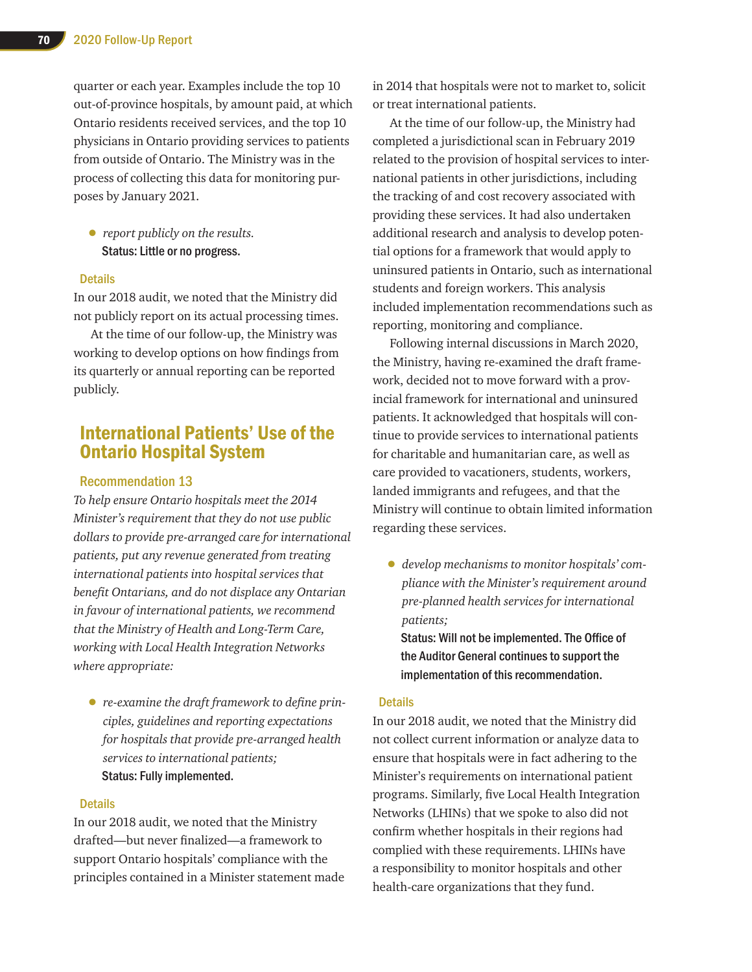quarter or each year. Examples include the top 10 out-of-province hospitals, by amount paid, at which Ontario residents received services, and the top 10 physicians in Ontario providing services to patients from outside of Ontario. The Ministry was in the process of collecting this data for monitoring purposes by January 2021.

• *report publicly on the results.* Status: Little or no progress.

#### **Details**

In our 2018 audit, we noted that the Ministry did not publicly report on its actual processing times.

At the time of our follow-up, the Ministry was working to develop options on how findings from its quarterly or annual reporting can be reported publicly.

## International Patients' Use of the Ontario Hospital System

#### Recommendation 13

*To help ensure Ontario hospitals meet the 2014 Minister's requirement that they do not use public dollars to provide pre-arranged care for international patients, put any revenue generated from treating international patients into hospital services that benefit Ontarians, and do not displace any Ontarian in favour of international patients, we recommend that the Ministry of Health and Long-Term Care, working with Local Health Integration Networks where appropriate:* 

• *re-examine the draft framework to define principles, guidelines and reporting expectations for hospitals that provide pre-arranged health services to international patients;* Status: Fully implemented.

#### **Details**

In our 2018 audit, we noted that the Ministry drafted—but never finalized—a framework to support Ontario hospitals' compliance with the principles contained in a Minister statement made in 2014 that hospitals were not to market to, solicit or treat international patients.

At the time of our follow-up, the Ministry had completed a jurisdictional scan in February 2019 related to the provision of hospital services to international patients in other jurisdictions, including the tracking of and cost recovery associated with providing these services. It had also undertaken additional research and analysis to develop potential options for a framework that would apply to uninsured patients in Ontario, such as international students and foreign workers. This analysis included implementation recommendations such as reporting, monitoring and compliance.

Following internal discussions in March 2020, the Ministry, having re-examined the draft framework, decided not to move forward with a provincial framework for international and uninsured patients. It acknowledged that hospitals will continue to provide services to international patients for charitable and humanitarian care, as well as care provided to vacationers, students, workers, landed immigrants and refugees, and that the Ministry will continue to obtain limited information regarding these services.

• *develop mechanisms to monitor hospitals' compliance with the Minister's requirement around pre-planned health services for international patients;*

Status: Will not be implemented. The Office of the Auditor General continues to support the implementation of this recommendation.

#### **Details**

In our 2018 audit, we noted that the Ministry did not collect current information or analyze data to ensure that hospitals were in fact adhering to the Minister's requirements on international patient programs. Similarly, five Local Health Integration Networks (LHINs) that we spoke to also did not confirm whether hospitals in their regions had complied with these requirements. LHINs have a responsibility to monitor hospitals and other health-care organizations that they fund.